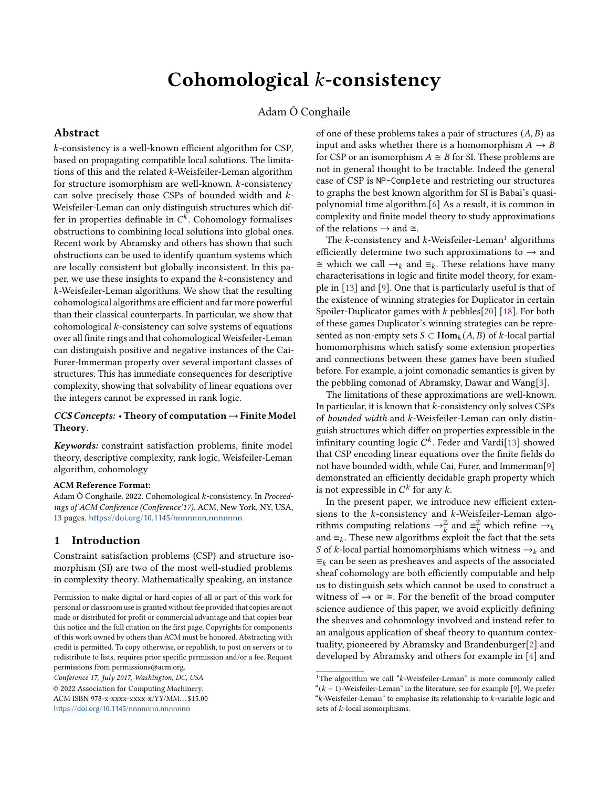# Cohomological  $k$ -consistency

### Adam Ó Conghaile

#### Abstract

-consistency is a well-known efficient algorithm for CSP, based on propagating compatible local solutions. The limitations of this and the related  $k$ -Weisfeiler-Leman algorithm for structure isomorphism are well-known.  $k$ -consistency can solve precisely those CSPs of bounded width and  $k$ -Weisfeiler-Leman can only distinguish structures which differ in properties definable in  $C^k$ . Cohomology formalises obstructions to combining local solutions into global ones. Recent work by Abramsky and others has shown that such obstructions can be used to identify quantum systems which are locally consistent but globally inconsistent. In this paper, we use these insights to expand the  $k$ -consistency and -Weisfeiler-Leman algorithms. We show that the resulting cohomological algorithms are efficient and far more powerful than their classical counterparts. In particular, we show that cohomological  $k$ -consistency can solve systems of equations over all finite rings and that cohomological Weisfeiler-Leman can distinguish positive and negative instances of the Cai-Furer-Immerman property over several important classes of structures. This has immediate consequences for descriptive complexity, showing that solvability of linear equations over the integers cannot be expressed in rank logic.

#### $CCS$  Concepts: • Theory of computation  $\rightarrow$  Finite Model Theory.

Keywords: constraint satisfaction problems, finite model theory, descriptive complexity, rank logic, Weisfeiler-Leman algorithm, cohomology

#### ACM Reference Format:

Adam Ó Conghaile. 2022. Cohomological k-consistency. In Proceedings of ACM Conference (Conference'17). ACM, New York, NY, USA, [13](#page-12-0) pages. <https://doi.org/10.1145/nnnnnnn.nnnnnnn>

#### 1 Introduction

Constraint satisfaction problems (CSP) and structure isomorphism (SI) are two of the most well-studied problems in complexity theory. Mathematically speaking, an instance

Conference'17, July 2017, Washington, DC, USA

© 2022 Association for Computing Machinery. ACM ISBN 978-x-xxxx-xxxx-x/YY/MM. . . \$15.00

<https://doi.org/10.1145/nnnnnnn.nnnnnnn>

of one of these problems takes a pair of structures  $(A, B)$  as input and asks whether there is a homomorphism  $A \rightarrow B$ for CSP or an isomorphism  $A \cong B$  for SI. These problems are not in general thought to be tractable. Indeed the general case of CSP is NP-Complete and restricting our structures to graphs the best known algorithm for SI is Babai's quasipolynomial time algorithm.[\[6\]](#page-11-0) As a result, it is common in complexity and finite model theory to study approximations of the relations  $\rightarrow$  and  $\approx$ .

The  $k$ -consistency and  $k$ -Weisfeiler-Leman $^1$  $^1$  algorithms efficiently determine two such approximations to  $\rightarrow$  and  $\cong$  which we call  $\rightarrow$ <sub>k</sub> and  $\equiv$ <sub>k</sub>. These relations have many characterisations in logic and finite model theory, for example in [\[13\]](#page-12-1) and [\[9\]](#page-11-1). One that is particularly useful is that of the existence of winning strategies for Duplicator in certain Spoiler-Duplicator games with  $k$  pebbles[\[20\]](#page-12-2) [\[18\]](#page-12-3). For both of these games Duplicator's winning strategies can be represented as non-empty sets  $S \subset \text{Hom}_k(A, B)$  of k-local partial homomorphisms which satisfy some extension properties and connections between these games have been studied before. For example, a joint comonadic semantics is given by the pebbling comonad of Abramsky, Dawar and Wang[\[3\]](#page-11-2).

The limitations of these approximations are well-known. In particular, it is known that  $k$ -consistency only solves CSPs of bounded width and k-Weisfeiler-Leman can only distinguish structures which differ on properties expressible in the infinitary counting logic  $C^k$ . Feder and Vardi[\[13\]](#page-12-1) showed that CSP encoding linear equations over the finite fields do not have bounded width, while Cai, Furer, and Immerman[\[9\]](#page-11-1) demonstrated an efficiently decidable graph property which is not expressible in  $C^k$  for any k.

In the present paper, we introduce new efficient extensions to the  $k$ -consistency and  $k$ -Weisfeiler-Leman algorithms computing relations  $\rightarrow_k^{\mathbb{Z}}$  and  $\equiv_k^{\mathbb{Z}}$  which refine  $\rightarrow_k$ and  $\equiv_k$ . These new algorithms exploit the fact that the sets S of k-local partial homomorphisms which witness  $\rightarrow_k$  and  $\equiv_k$  can be seen as presheaves and aspects of the associated sheaf cohomology are both efficiently computable and help us to distinguish sets which cannot be used to construct a witness of  $\rightarrow$  or  $\cong$ . For the benefit of the broad computer science audience of this paper, we avoid explicitly defining the sheaves and cohomology involved and instead refer to an analgous application of sheaf theory to quantum contextuality, pioneered by Abramsky and Brandenburger[\[2\]](#page-11-3) and developed by Abramsky and others for example in [\[4\]](#page-11-4) and

Permission to make digital or hard copies of all or part of this work for personal or classroom use is granted without fee provided that copies are not made or distributed for profit or commercial advantage and that copies bear this notice and the full citation on the first page. Copyrights for components of this work owned by others than ACM must be honored. Abstracting with credit is permitted. To copy otherwise, or republish, to post on servers or to redistribute to lists, requires prior specific permission and/or a fee. Request permissions from permissions@acm.org.

<span id="page-0-0"></span><sup>&</sup>lt;sup>1</sup>The algorithm we call " $k$ -Weisfeiler-Leman" is more commonly called " $(k - 1)$ -Weisfeiler-Leman" in the literature, see for example [\[9\]](#page-11-1). We prefer " $k$ -Weisfeiler-Leman" to emphasise its relationship to  $k$ -variable logic and sets of  $k$ -local isomorphisms.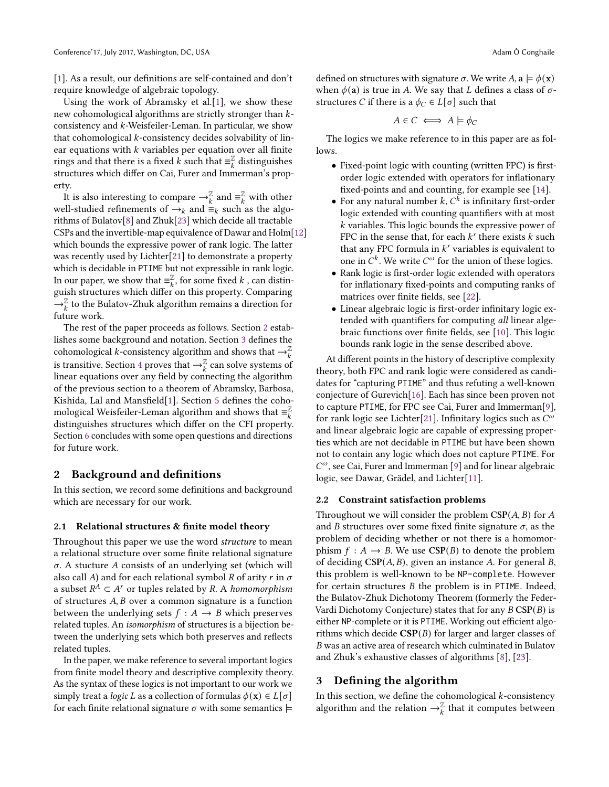[\[1\]](#page-11-5). As a result, our definitions are self-contained and don't require knowledge of algebraic topology.

Using the work of Abramsky et al.[\[1\]](#page-11-5), we show these new cohomological algorithms are strictly stronger than  $k$ consistency and  $k$ -Weisfeiler-Leman. In particular, we show that cohomological  $k$ -consistency decides solvability of linear equations with  $k$  variables per equation over all finite rings and that there is a fixed  $k$  such that  $\equiv_k^{\mathbb{Z}}$  distinguishes structures which differ on Cai, Furer and Immerman's property.

It is also interesting to compare  $\rightarrow_k^{\mathbb{Z}}$  and  $\equiv_k^{\mathbb{Z}}$  with other well-studied refinements of  $\rightarrow_k$  and  $\stackrel{\sim}{=}$ <sub>k</sub> such as the algorithms of Bulatov[\[8\]](#page-11-6) and Zhuk[\[23\]](#page-12-4) which decide all tractable CSPs and the invertible-map equivalence of Dawar and Holm[\[12\]](#page-11-7) which bounds the expressive power of rank logic. The latter was recently used by Lichter[\[21\]](#page-12-5) to demonstrate a property which is decidable in PTIME but not expressible in rank logic. In our paper, we show that  $\equiv_k^{\mathbb{Z}}$ , for some fixed k, can distinguish structures which differ on this property. Comparing  $\rightarrow_k^{\mathbb{Z}}$  to the Bulatov-Zhuk algorithm remains a direction for future work.

The rest of the paper proceeds as follows. Section [2](#page-1-0) establishes some background and notation. Section [3](#page-1-1) defines the cohomological *k*-consistency algorithm and shows that  $\rightarrow_k^{\mathbb{Z}}$ is transitive. Section [4](#page-4-0) proves that  $\rightarrow_{k}^{\mathbb{Z}}$  can solve systems of linear equations over any field by connecting the algorithm of the previous section to a theorem of Abramsky, Barbosa, Kishida, Lal and Mansfield[\[1\]](#page-11-5). Section [5](#page-6-0) defines the cohomological Weisfeiler-Leman algorithm and shows that  $\equiv_k^{\mathbb{Z}}$ distinguishes structures which differ on the CFI property. Section [6](#page-10-0) concludes with some open questions and directions for future work.

#### <span id="page-1-0"></span>2 Background and definitions

In this section, we record some definitions and background which are necessary for our work.

#### 2.1 Relational structures & finite model theory

Throughout this paper we use the word *structure* to mean a relational structure over some finite relational signature  $\sigma$ . A stucture A consists of an underlying set (which will also call A) and for each relational symbol R of arity r in  $\sigma$ a subset  $R^A \subset A^r$  or tuples related by R. A *homomorphism* of structures  $A, B$  over a common signature is a function between the underlying sets  $f : A \rightarrow B$  which preserves related tuples. An isomorphism of structures is a bijection between the underlying sets which both preserves and reflects related tuples.

In the paper, we make reference to several important logics from finite model theory and descriptive complexity theory. As the syntax of these logics is not important to our work we simply treat a *logic L* as a collection of formulas  $\phi(\mathbf{x}) \in L[\sigma]$ for each finite relational signature  $\sigma$  with some semantics  $\models$ 

defined on structures with signature  $\sigma$ . We write  $A$ ,  $\mathbf{a} \models \phi(\mathbf{x})$ when  $\phi$ (a) is true in A. We say that *L* defines a class of  $\sigma$ structures *C* if there is a  $\phi_C \in L[\sigma]$  such that

$$
A \in C \iff A \models \phi_C
$$

The logics we make reference to in this paper are as follows.

- Fixed-point logic with counting (written FPC) is firstorder logic extended with operators for inflationary fixed-points and and counting, for example see [\[14\]](#page-12-6).
- For any natural number  $k$ ,  $C^k$  is infinitary first-order logic extended with counting quantifiers with at most  $k$  variables. This logic bounds the expressive power of FPC in the sense that, for each  $k'$  there exists  $k$  such that any FPC formula in  $k'$  variables is equivalent to one in  $C^k$ . We write  $C^{\omega}$  for the union of these logics.
- Rank logic is first-order logic extended with operators for inflationary fixed-points and computing ranks of matrices over finite fields, see [\[22\]](#page-12-7).
- Linear algebraic logic is first-order infinitary logic extended with quantifiers for computing all linear algebraic functions over finite fields, see [\[10\]](#page-11-8). This logic bounds rank logic in the sense described above.

At different points in the history of descriptive complexity theory, both FPC and rank logic were considered as candidates for "capturing PTIME" and thus refuting a well-known conjecture of Gurevich[\[16\]](#page-12-8). Each has since been proven not to capture PTIME, for FPC see Cai, Furer and Immerman[\[9\]](#page-11-1), for rank logic see Lichter[\[21\]](#page-12-5). Infinitary logics such as  $\widetilde{C}^\omega$ and linear algebraic logic are capable of expressing properties which are not decidable in PTIME but have been shown not to contain any logic which does not capture PTIME. For  $C^{\omega}$ , see Cai, Furer and Immerman [\[9\]](#page-11-1) and for linear algebraic logic, see Dawar, Grädel, and Lichter[\[11\]](#page-11-9).

#### 2.2 Constraint satisfaction problems

Throughout we will consider the problem  $CSP(A, B)$  for A and *B* structures over some fixed finite signature  $\sigma$ , as the problem of deciding whether or not there is a homomorphism  $f : A \rightarrow B$ . We use  $CSP(B)$  to denote the problem of deciding  $CSP(A, B)$ , given an instance A. For general B, this problem is well-known to be NP-complete. However for certain structures  $B$  the problem is in PTIME. Indeed, the Bulatov-Zhuk Dichotomy Theorem (formerly the Feder-Vardi Dichotomy Conjecture) states that for any  $B \text{ CSP}(B)$  is either NP-complete or it is PTIME. Working out efficient algorithms which decide  $CSP(B)$  for larger and larger classes of was an active area of research which culminated in Bulatov and Zhuk's exhaustive classes of algorithms [\[8\]](#page-11-6), [\[23\]](#page-12-4).

#### <span id="page-1-1"></span>3 Defining the algorithm

In this section, we define the cohomological  $k$ -consistency algorithm and the relation  $\rightarrow_k^{\mathbb{Z}}$  that it computes between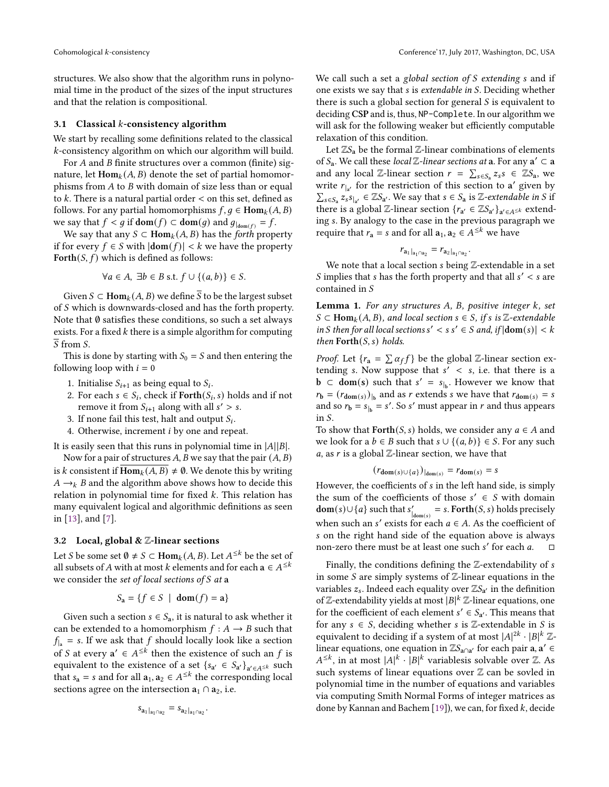structures. We also show that the algorithm runs in polynomial time in the product of the sizes of the input structures and that the relation is compositional.

#### 3.1 Classical  $k$ -consistency algorithm

We start by recalling some definitions related to the classical -consistency algorithm on which our algorithm will build.

For  $A$  and  $B$  finite structures over a common (finite) signature, let  $\text{Hom}_k(A, B)$  denote the set of partial homomorphisms from  $A$  to  $B$  with domain of size less than or equal to  $k$ . There is a natural partial order  $\lt$  on this set, defined as follows. For any partial homomorphisms  $f, g \in \text{Hom}_k(A, B)$ we say that  $f < g$  if  $\text{dom}(f) \subset \text{dom}(g)$  and  $g_{|_{\text{dom}(f)}} = f$ .

We say that any  $S \subset \text{Hom}_k(A, B)$  has the *forth* property if for every *f* ∈ *S* with  $|dom(f)| < k$  we have the property Forth $(S, f)$  which is defined as follows:

$$
\forall a \in A, \exists b \in B \text{ s.t. } f \cup \{(a, b)\} \in S.
$$

Given  $S \subset \text{Hom}_k(A, B)$  we define  $\overline{S}$  to be the largest subset of *S* which is downwards-closed and has the forth property. Note that  $\emptyset$  satisfies these conditions, so such a set always exists. For a fixed  $k$  there is a simple algorithm for computing  $\overline{S}$  from S.

This is done by starting with  $S_0 = S$  and then entering the following loop with  $i = 0$ 

- 1. Initialise  $S_{i+1}$  as being equal to  $S_i$ .
- 2. For each  $s \in S_i$ , check if  $\text{Forth}(S_i, s)$  holds and if not remove it from  $S_{i+1}$  along with all  $s' > s$ .
- 3. If none fail this test, halt and output  $S_i$ .
- 4. Otherwise, increment  $i$  by one and repeat.

It is easily seen that this runs in polynomial time in  $|A||B|$ .

Now for a pair of structures  $A$ ,  $B$  we say that the pair  $(A, B)$ is k consistent if  $\overline{\text{Hom}_{k}(A, B)} \neq \emptyset$ . We denote this by writing  $A \rightarrow_k B$  and the algorithm above shows how to decide this relation in polynomial time for fixed  $k$ . This relation has many equivalent logical and algorithmic definitions as seen in [\[13\]](#page-12-1), and [\[7\]](#page-11-10).

#### 3.2 Local, global &  $\mathbb Z$ -linear sections

Let *S* be some set  $\emptyset \neq S \subset \text{Hom}_k(A, B)$ . Let  $A^{\leq k}$  be the set of all subsets of A with at most k elements and for each  $a \in A^{\leq k}$ we consider the set of local sections of  $S$  at a

$$
S_{\mathbf{a}} = \{ f \in S \mid \mathbf{dom}(f) = \mathbf{a} \}
$$

Given such a section  $s \in S_a$ , it is natural to ask whether it can be extended to a homomorphism  $f : A \rightarrow B$  such that  $f_{\parallel a}$  = s. If we ask that f should locally look like a section of *S* at every  $a' \in A^{\leq k}$  then the existence of such an *f* is equivalent to the existence of a set  $\{s_{a'} \in S_{a'}\}_{a' \in A^{\leq k}}$  such that  $s_a = s$  and for all  $a_1, a_2 \in A^{\leq k}$  the corresponding local sections agree on the intersection  $a_1 \cap a_2$ , i.e.

$$
s_{a_1|_{a_1 \cap a_2}} = s_{a_2|_{a_1 \cap a_2}}.
$$

We call such a set a global section of  $S$  extending  $s$  and if one exists we say that *s* is *extendable in S*. Deciding whether there is such a global section for general  $S$  is equivalent to deciding CSP and is, thus, NP-Complete. In our algorithm we will ask for the following weaker but efficiently computable relaxation of this condition.

Let  $\mathbb{Z}S_{a}$  be the formal  $\mathbb{Z}$ -linear combinations of elements of  $S_a$ . We call these local  $\mathbb Z$ -linear sections at a. For any  $a' \subset a$ and any local Z-linear section  $r = \sum_{s \in S_a} z_s s \in \mathbb{Z}S_a$ , we write  $r_{\vert a'}$  for the restriction of this section to a' given by  $\sum_{s \in S_a} z_s^{\alpha} s_{|a'} \in \mathbb{Z}S_{a'}$ . We say that  $s \in S_a$  is  $\mathbb{Z}$ -extendable in S if there is a global Z-linear section  $\{r_{a'} \in \mathbb{Z}S_{a'}\}_{a' \in A^{\leq k}}$  extending s. By analogy to the case in the previous paragraph we require that  $r_a = s$  and for all  $a_1, a_2 \in A^{\leq k}$  we have

$$
r_{a_1|_{a_1}a_2} = r_{a_2|_{a_1}a_2}.
$$

We note that a local section  $s$  being  $\mathbb Z$ -extendable in a set S implies that s has the forth property and that all  $s' < s$  are contained in

<span id="page-2-0"></span>Lemma 1. For any structures  $A$ ,  $B$ , positive integer  $k$ , set  $S \subset \text{Hom}_k(A, B)$ , and local section  $s \in S$ , if s is Z-extendable in S then for all local sections  $s' < s s' \in S$  and, if  $|dom(s)| < k$ then  $\text{Forth}(S, s)$  holds.

*Proof.* Let  $\{r_a = \sum \alpha_f f\}$  be the global Z-linear section extending s. Now suppose that  $s' < s$ , i.e. that there is a **b** ⊂ **dom**(s) such that  $s' = s_{|b}$ . However we know that  $r_{\mathbf{b}} = (r_{\mathbf{dom}(s)})_{|_{\mathbf{b}}}$  and as r extends s we have that  $r_{\mathbf{dom}(s)} = s$ and so  $r_b = s_{b} = s'$ . So s' must appear in r and thus appears in  $S$ .

To show that  $\text{Forth}(S, s)$  holds, we consider any  $a \in A$  and we look for a  $b \in B$  such that  $s \cup \{(a, b)\}\in S$ . For any such a, as  $r$  is a global  $\mathbb Z$ -linear section, we have that

$$
(r_{\text{dom}(s)\cup\{a\}})_{|\text{dom}(s)} = r_{\text{dom}(s)} = s
$$

However, the coefficients of *s* in the left hand side, is simply the sum of the coefficients of those  $s' \in S$  with domain **dom**(s)∪{a} such that  $s'_{\text{dom}(s)} = s$ . **Forth**(S, s) holds precisely when such an s' exists for each  $a \in A$ . As the coefficient of s on the right hand side of the equation above is always non-zero there must be at least one such s' for each  $a$ .  $\square$ 

Finally, the conditions defining the  $\mathbb Z$ -extendability of  $s$ in some S are simply systems of  $\mathbb{Z}$ -linear equations in the variables  $z_s$ . Indeed each equality over  $\mathbb{Z}S_{a'}$  in the definition of Z-extendability yields at most  $|B|^k$  Z-linear equations, one for the coefficient of each element  $s' \in S_{a'}$ . This means that for any  $s \in S$ , deciding whether s is Z-extendable in S is equivalent to deciding if a system of at most  $|A|^{2k} \cdot |B|^k \mathbb{Z}$ linear equations, one equation in  $\mathbb{Z}S_{a\cap a'}$  for each pair  $a, a' \in$  $A^{\leq k}$ , in at most  $|A|^k \cdot |B|^k$  variablesis solvable over Z. As such systems of linear equations over  $\mathbb Z$  can be sovled in polynomial time in the number of equations and variables via computing Smith Normal Forms of integer matrices as done by Kannan and Bachem [\[19\]](#page-12-9)), we can, for fixed  $k$ , decide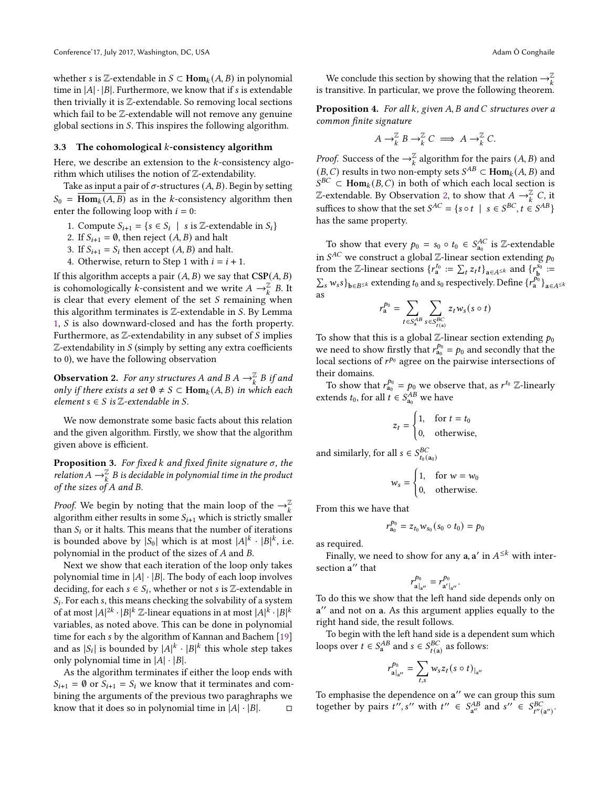whether *s* is Z-extendable in  $S \subset \text{Hom}_k(A, B)$  in polynomial time in  $|A| \cdot |B|$ . Furthermore, we know that if *s* is extendable then trivially it is  $\mathbb{Z}$ -extendable. So removing local sections which fail to be Z-extendable will not remove any genuine global sections in  $S$ . This inspires the following algorithm.

#### 3.3 The cohomological  $k$ -consistency algorithm

Here, we describe an extension to the  $k$ -consistency algorithm which utilises the notion of Z-extendability.

Take as input a pair of  $\sigma$ -structures  $(A, B)$ . Begin by setting  $S_0 = \overline{Hom_k(A, B)}$  as in the k-consistency algorithm then enter the following loop with  $i = 0$ :

- 1. Compute  $S_{i+1} = \{ s \in S_i \mid s \text{ is } \mathbb{Z}\text{-extendable in } S_i \}$
- 2. If  $S_{i+1} = \emptyset$ , then reject  $(A, B)$  and halt
- 3. If  $S_{i+1} = S_i$  then accept  $(A, B)$  and halt.
- 4. Otherwise, return to Step 1 with  $i = i + 1$ .

If this algorithm accepts a pair  $(A, B)$  we say that  $CSP(A, B)$ is cohomologically k-consistent and we write  $A \rightarrow_{k}^{\mathbb{Z}} B$ . It is clear that every element of the set  $S$  remaining when this algorithm terminates is  $\mathbb Z$ -extendable in  $S$ . By Lemma [1,](#page-2-0)  $S$  is also downward-closed and has the forth property. Furthermore, as  $\mathbb Z$ -extendability in any subset of  $S$  implies  $\mathbb Z$ -extendability in  $S$  (simply by setting any extra coefficients to 0), we have the following observation

<span id="page-3-0"></span>**Observation 2.** For any structures A and B  $A \rightarrow_{k}^{\mathbb{Z}} B$  if and only if there exists a set  $\emptyset \neq S \subset \text{Hom}_k(A, B)$  in which each element  $s \in S$  is  $\mathbb{Z}$ -extendable in S.

We now demonstrate some basic facts about this relation and the given algorithm. Firstly, we show that the algorithm given above is efficient.

**Proposition 3.** For fixed  $k$  and fixed finite signature  $\sigma$ , the relation A  $\rightarrow_k^{\mathbb{Z}}$  B is decidable in polynomial time in the product of the sizes of  $A$  and  $B$ .

*Proof.* We begin by noting that the main loop of the  $\rightarrow_k^{\mathbb{Z}}$ algorithm either results in some  $S_{i+1}$  which is strictly smaller than  $S_i$  or it halts. This means that the number of iterations is bounded above by  $|S_0|$  which is at most  $|A|^k \cdot |B|^k$ , i.e. polynomial in the product of the sizes of  $A$  and  $B$ .

Next we show that each iteration of the loop only takes polynomial time in  $|A| \cdot |B|$ . The body of each loop involves deciding, for each  $s \in S_i$ , whether or not  $s$  is  $\mathbb{Z}\text{-extendable}$  in  $S_i$ . For each s, this means checking the solvability of a system of at most  $|A|^{2k} \cdot |B|^k \mathbb{Z}$ -linear equations in at most  $|A|^k \cdot |B|^k$ variables, as noted above. This can be done in polynomial time for each s by the algorithm of Kannan and Bachem [\[19\]](#page-12-9) and as  $|S_i|$  is bounded by  $|A|^k \cdot |B|^k$  this whole step takes only polynomial time in  $|A| \cdot |B|$ .

As the algorithm terminates if either the loop ends with  $S_{i+1} = \emptyset$  or  $S_{i+1} = S_i$  we know that it terminates and combining the arguments of the previous two paraghraphs we know that it does so in polynomial time in  $|A| \cdot |B|$ .  $\Box$ 

We conclude this section by showing that the relation  $\rightarrow_k^\mathbb{Z}$ is transitive. In particular, we prove the following theorem.

**Proposition 4.** For all  $k$ , given  $A$ ,  $B$  and  $C$  structures over a common finite signature

$$
A \to_{k}^{\mathbb{Z}} B \to_{k}^{\mathbb{Z}} C \implies A \to_{k}^{\mathbb{Z}} C.
$$

*Proof.* Success of the  $\rightarrow_k^{\mathbb{Z}}$  algorithm for the pairs  $(A, B)$  and  $(B, C)$  results in two non-empty sets  $S^{AB} \subset \text{Hom}_k(A, B)$  and  $S^{BC}$   $\subset$  Hom<sub>k</sub>(B, C) in both of which each local section is Z-extendable. By Observation [2,](#page-3-0) to show that  $A \rightarrow_{k}^{\mathbb{Z}} C$ , it suffices to show that the set  $S^{AC} = \{s \circ t \mid s \in S^{BC}, t \in S^{AB}\}\$ has the same property.

To show that every  $p_0 = s_0 \circ t_0 \in S_{a_0}^{AC}$  is Z-extendable in  $S^{AC}$  we construct a global Z-linear section extending  $p_0$ from the Z-linear sections  $\{r_a^{t_0} := \sum_t z_t t\}_{a \in A^{\le k}}$  and  $\{r_b^{s_0} :=$  $\sum_s w_s s$ <sub>b∈B≤k</sub> extending  $t_0$  and  $s_0$  respectively. Define  $\{r_a^{p_0}\}_{a \in A \leq k}$ as

$$
r_{\mathbf{a}}^{p_0} = \sum_{t \in S_{\mathbf{a}}^{AB}} \sum_{s \in S_{t(\mathbf{a})}^{BC}} z_t w_s (s \circ t)
$$

To show that this is a global Z-linear section extending  $p_0$ we need to show firstly that  $r_{a_0}^{p_0} = p_0$  and secondly that the local sections of  $r^{p_0}$  agree on the pairwise intersections of their domains.

To show that  $r_{a_0}^{p_0} = p_0$  we observe that, as  $r^{t_0}$  Z-linearly extends  $t_0$ , for all  $t \in S_{a_0}^{AB}$  we have

$$
z_t = \begin{cases} 1, & \text{for } t = t_0 \\ 0, & \text{otherwise,} \end{cases}
$$

and similarly, for all  $s \in S_{t_0(a_0)}^{BC}$ 

$$
w_s = \begin{cases} 1, & \text{for } w = w_0 \\ 0, & \text{otherwise.} \end{cases}
$$

From this we have that

$$
r_{a_0}^{p_0}=z_{t_0}w_{s_0}(s_0\circ t_0)=p_0
$$

as required.

Finally, we need to show for any  $a$ ,  $a'$  in  $A^{\leq k}$  with intersection a ′′ that

$$
r_{\mathbf{a}|_{\mathbf{a}''}}^{p_0} = r_{\mathbf{a}'|_{\mathbf{a}''}}^{p_0}.
$$

To do this we show that the left hand side depends only on a ′′ and not on a. As this argument applies equally to the right hand side, the result follows.

To begin with the left hand side is a dependent sum which loops over  $t \in S_a^{AB}$  and  $s \in S_{t(a)}^{BC}$  as follows:

$$
r_{\mathbf{a}|_{\mathbf{a}''}}^{p_0} = \sum_{t,s} w_s z_t (s \circ t)_{|_{\mathbf{a}''}}
$$

To emphasise the dependence on a" we can group this sum together by pairs  $t''$ , s'' with  $t'' \in S_{av}^{AB}$  ${}_{a''}^{AB}$  and  $s'' \in S_{t''(a'')}^{BC}$ .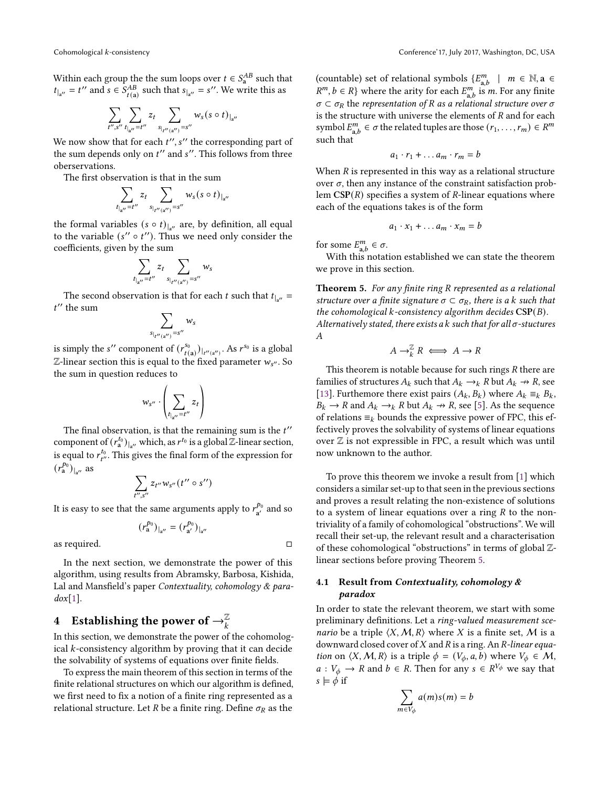Within each group the the sum loops over  $t \in S_{a}^{AB}$  such that  $t_{\vert_{a''}} = t''$  and  $s \in S_{t(a)}^{AB}$  such that  $s_{\vert_{a''}} = s''$ . We write this as

$$
\sum_{t'',s''}\sum_{t|_{\mathfrak{q}''}=t''}z_t\sum_{s|_{t''(\mathfrak{q}'')}=s''}w_s(s\circ t)|_{\mathfrak{q}''}
$$

We now show that for each  $t''$ ,  $s''$  the corresponding part of the sum depends only on  $t''$  and  $s''$ . This follows from three oberservations.

The first observation is that in the sum

$$
\sum_{t_{a''}=t''} z_t \sum_{s_{t''(a'')}=s''} w_s(s \circ t)_{a''}
$$

the formal variables ( $s \circ t$ )<sub>|a</sub>'' are, by definition, all equal to the variable  $(s'' \circ t'')$ . Thus we need only consider the coefficients, given by the sum

$$
\sum_{t_{a''}=t''} z_t \sum_{s_{t''(a'')}=s''} w_s
$$

The second observation is that for each *t* such that  $t_{\vert_{a''}} =$  $t^{\prime\prime}$  the sum

$$
\sum_{s_{|_{t''(\mathbf{a}'')}}=s''}w_s
$$

is simply the s'' component of  $(r^{s_0}_{t(a)})_{|_{t''(a'')}}$ . As  $r^{s_0}$  is a global  $\mathbb{Z}$ -linear section this is equal to the fixed parameter  $w_{s''}$ . So the sum in question reduces to

$$
w_{s''} \cdot \left(\sum_{t_{\vert a''}=t''} z_t\right)
$$

The final observation, is that the remaining sum is the  $t''$ component of  $(r_a^{t_0})_{|_{a''}}$  which, as  $r^{t_0}$  is a global  $\mathbb{Z}$ -linear section, is equal to  $r_{t''}^{t_0}$ . This gives the final form of the expression for  $(r_a^{p_0})_{|_{a''}}$  as

$$
\sum_{t'',s''} z_{t''} w_{s''}(t'' \circ s'')
$$

It is easy to see that the same arguments apply to  $r^{\bar{p}_0}_{\rm a'}$  and so

$$
(r_a^{p_0})_{|_{a''}} = (r_{a'}^{p_0})_{|_{a''}}
$$

as required. □

In the next section, we demonstrate the power of this algorithm, using results from Abramsky, Barbosa, Kishida, Lal and Mansfield's paper Contextuality, cohomology  $\&$  para $d\alpha$ [\[1\]](#page-11-5).

## <span id="page-4-0"></span> $4$   $\;$  Establishing the power of  $\rightarrow_k^{\mathbb{Z}}$

In this section, we demonstrate the power of the cohomological  $k$ -consistency algorithm by proving that it can decide the solvability of systems of equations over finite fields.

To express the main theorem of this section in terms of the finite relational structures on which our algorithm is defined, we first need to fix a notion of a finite ring represented as a relational structure. Let R be a finite ring. Define  $\sigma_R$  as the

(countable) set of relational symbols  $\{E_{a,b}^m \mid m \in \mathbb{N}, a \in$  $R^m$ ,  $b \in R$ } where the arity for each  $E_{a,b}^m$  is *m*. For any finite  $\sigma \subset \sigma_R$  the representation of R as a relational structure over  $\sigma$ is the structure with universe the elements of  $R$  and for each symbol  $E_{a,b}^m \in \sigma$  the related tuples are those  $(r_1, \ldots, r_m) \in R^m$ such that

$$
a_1 \cdot r_1 + \dots a_m \cdot r_m = b
$$

When  $R$  is represented in this way as a relational structure over  $\sigma$ , then any instance of the constraint satisfaction problem  $CSP(R)$  specifies a system of R-linear equations where each of the equations takes is of the form

$$
a_1 \cdot x_1 + \dots a_m \cdot x_m = b
$$

for some  $E_{a,b}^m \in \sigma$ .

With this notation established we can state the theorem we prove in this section.

<span id="page-4-1"></span>**Theorem 5.** For any finite ring  $R$  represented as a relational structure over a finite signature  $\sigma \subset \sigma_R$ , there is a k such that the cohomological  $k$ -consistency algorithm decides  $CSP(B)$ . Alternatively stated, there exists a  $k$  such that for all  $\sigma$ -stuctures  $\boldsymbol{A}$ 

$$
A \to_R^{\mathbb{Z}} R \iff A \to R
$$

This theorem is notable because for such rings  $R$  there are families of structures  $A_k$  such that  $A_k \rightarrow k$  R but  $A_k \rightarrow R$ , see [\[13\]](#page-12-1). Furthemore there exist pairs  $(A_k, B_k)$  where  $A_k \equiv_k B_k$ ,  $B_k \to R$  and  $A_k \to k$  R but  $A_k \to R$ , see [\[5\]](#page-11-11). As the sequence of relations  $\equiv_k$  bounds the expressive power of FPC, this effectively proves the solvability of systems of linear equations over  $Z$  is not expressible in FPC, a result which was until now unknown to the author.

To prove this theorem we invoke a result from [\[1\]](#page-11-5) which considers a similar set-up to that seen in the previous sections and proves a result relating the non-existence of solutions to a system of linear equations over a ring  $R$  to the nontriviality of a family of cohomological "obstructions". We will recall their set-up, the relevant result and a characterisation of these cohomological "obstructions" in terms of global Zlinear sections before proving Theorem [5.](#page-4-1)

#### 4.1 Result from Contextuality, cohomology  $\&$ paradox

In order to state the relevant theorem, we start with some preliminary definitions. Let a ring-valued measurement sce*nario* be a triple  $\langle X, M, R \rangle$  where X is a finite set, M is a downward closed cover of  $X$  and  $R$  is a ring. An  $R$ -linear equa*tion* on  $\langle X, M, R \rangle$  is a triple  $\phi = (V_{\phi}, a, b)$  where  $V_{\phi} \in M$ ,  $a: V_{\phi} \to R$  and  $b \in R$ . Then for any  $s \in R^{V_{\phi}}$  we say that  $s \models \phi$  if

$$
\sum_{m \in V_{\phi}} a(m)s(m) = b
$$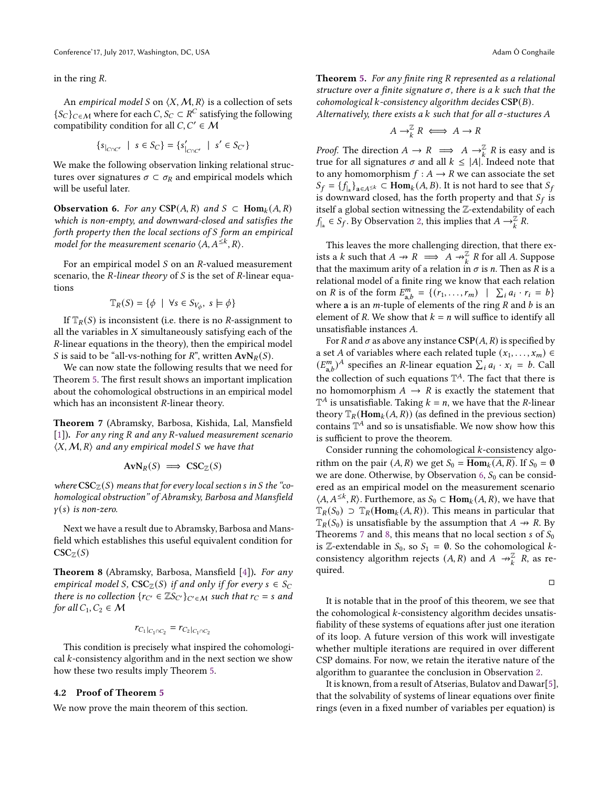in the ring *.* 

An empirical model S on  $\langle X, M, R \rangle$  is a collection of sets  ${S_C}_{C \in \mathcal{M}}$  where for each  $C, S_C \subset R^C$  satisfying the following compatibility condition for all  $C, C' \in M$ 

$$
\{s_{|_{C\cap C'}} \mid s \in S_C\} = \{s'_{|_{C\cap C'}} \mid s' \in S_{C'}\}
$$

We make the following observation linking relational structures over signatures  $\sigma \subset \sigma_R$  and empirical models which will be useful later.

<span id="page-5-0"></span>**Observation 6.** For any CSP(A, R) and  $S \subset \text{Hom}_k(A, R)$ which is non-empty, and downward-closed and satisfies the forth property then the local sections of  $S$  form an empirical model for the measurement scenario  $\langle A, A^{\leq k}, R \rangle$ .

For an empirical model  $S$  on an  $R$ -valued measurement scenario, the  $R$ -linear theory of  $S$  is the set of  $R$ -linear equations

$$
\mathbb{T}_R(S) = \{ \phi \mid \forall s \in S_{V_{\phi}}, s \models \phi \}
$$

If  $\mathbb{T}_R(S)$  is inconsistent (i.e. there is no *R*-assignment to all the variables in  $X$  simultaneously satisfying each of the R-linear equations in the theory), then the empirical model *S* is said to be "all-vs-nothing for  $R$ ", written  $AvN_R(S)$ .

We can now state the following results that we need for Theorem [5.](#page-4-1) The first result shows an important implication about the cohomological obstructions in an empirical model which has an inconsistent  $R$ -linear theory.

<span id="page-5-1"></span>Theorem 7 (Abramsky, Barbosa, Kishida, Lal, Mansfield [\[1\]](#page-11-5)). For any ring R and any R-valued measurement scenario  $\langle X, M, R \rangle$  and any empirical model S we have that

$$
AvN_R(S) \implies \text{CSC}_\mathbb{Z}(S)
$$

where  $\mathrm{CSC}_{\mathbb{Z}}(S)$  means that for every local section s in S the "cohomological obstruction" of Abramsky, Barbosa and Mansfield  $y(s)$  is non-zero.

Next we have a result due to Abramsky, Barbosa and Mansfield which establishes this useful equivalent condition for  $\mathrm{CSC}_\mathbb{Z}(S)$ 

<span id="page-5-2"></span>Theorem 8 (Abramsky, Barbosa, Mansfield [\[4\]](#page-11-4)). For any empirical model S,  $CSC_Z(S)$  if and only if for every  $s \in S_C$ there is no collection  $\{r_{C'} \in \mathbb{Z}S_{C'}\}_{C' \in \mathcal{M}}$  such that  $r_C = s$  and for all  $C_1, C_2 \in M$ 

$$
r_{C_1|_{C_1 \cap C_2}} = r_{C_2|_{C_1 \cap C_2}}
$$

This condition is precisely what inspired the cohomological  $k$ -consistency algorithm and in the next section we show how these two results imply Theorem [5.](#page-4-1)

#### 4.2 Proof of Theorem [5](#page-4-1)

We now prove the main theorem of this section.

<span id="page-5-3"></span>**Theorem [5.](#page-4-1)** For any finite ring  $R$  represented as a relational structure over a finite signature  $\sigma$ , there is a  $k$  such that the cohomological k-consistency algorithm decides  $CSP(B)$ .

Alternatively, there exists a  $k$  such that for all  $\sigma$ -stuctures A

$$
A \to_{k}^{\mathbb{Z}} R \iff A \to R
$$

*Proof.* The direction  $A \to R \implies A \to_{\mathfrak{k}}^{\mathbb{Z}} R$  is easy and is true for all signatures  $\sigma$  and all  $k \leq |A|$ . Indeed note that to any homomorphism  $f : A \rightarrow R$  we can associate the set  $S_f = \{f_{|a}\}_{a \in A^{\le k}} \subset \text{Hom}_k(A, B)$ . It is not hard to see that  $S_f$ is downward closed, has the forth property and that  $S_f$  is itself a global section witnessing the Z-extendability of each  $f_{\vert a} \in S_f$ . By Observation [2,](#page-3-0) this implies that  $A \to \tilde{k} R$ .

This leaves the more challenging direction, that there exists a k such that  $A \to R \implies A \to_{k}^{\mathbb{Z}} R$  for all A. Suppose that the maximum arity of a relation in  $\sigma$  is *n*. Then as *R* is a relational model of a finite ring we know that each relation on *R* is of the form  $E_{a,b}^m = \{ (r_1, ..., r_m) \mid \sum_i a_i \cdot r_i = b \}$ where a is an  $m$ -tuple of elements of the ring  $R$  and  $b$  is an element of R. We show that  $k = n$  will suffice to identify all unsatisfiable instances A.

For R and  $\sigma$  as above any instance  $CSP(A, R)$  is specified by a set A of variables where each related tuple  $(x_1, \ldots, x_m) \in$  $(E_{a,b}^m)^A$  specifies an *R*-linear equation  $\sum_i a_i \cdot x_i = b$ . Call the collection of such equations  $\mathbb{T}^{A}$ . The fact that there is no homomorphism  $A \rightarrow R$  is exactly the statement that  $\mathbb{T}^{A}$  is unsatisfiable. Taking  $k = n$ , we have that the *R*-linear theory  $\mathbb{T}_R(\text{Hom}_k(A,R))$  (as defined in the previous section) contains  $\mathbb{T}^{A}$  and so is unsatisfiable. We now show how this is sufficient to prove the theorem.

Consider running the cohomological  $k$ -consistency algorithm on the pair  $(A, R)$  we get  $S_0 = \text{Hom}_k(A, R)$ . If  $S_0 = \emptyset$ we are done. Otherwise, by Observation [6,](#page-5-0)  $S_0$  can be considered as an empirical model on the measurement scenario  $\langle A, A^{\leq k}, R \rangle$ . Furthemore, as  $S_0 \subset \text{Hom}_k(A, R)$ , we have that  $\mathbb{T}_R(S_0) \supset \mathbb{T}_R(\text{Hom}_k(A, R))$ . This means in particular that  $\mathbb{T}_R(S_0)$  is unsatisfiable by the assumption that  $A \rightarrow R$ . By Theorems [7](#page-5-1) and [8,](#page-5-2) this means that no local section s of  $S_0$ is Z-extendable in  $S_0$ , so  $S_1 = \emptyset$ . So the cohomological kconsistency algorithm rejects  $(A, R)$  and  $A \rightarrow_{\mathbf{k}}^{\mathbb{Z}} R$ , as required.

□

It is notable that in the proof of this theorem, we see that the cohomological  $k$ -consistency algorithm decides unsatisfiability of these systems of equations after just one iteration of its loop. A future version of this work will investigate whether multiple iterations are required in over different CSP domains. For now, we retain the iterative nature of the algorithm to guarantee the conclusion in Observation [2.](#page-3-0)

It is known, from a result of Atserias, Bulatov and Dawar[\[5\]](#page-11-11), that the solvability of systems of linear equations over finite rings (even in a fixed number of variables per equation) is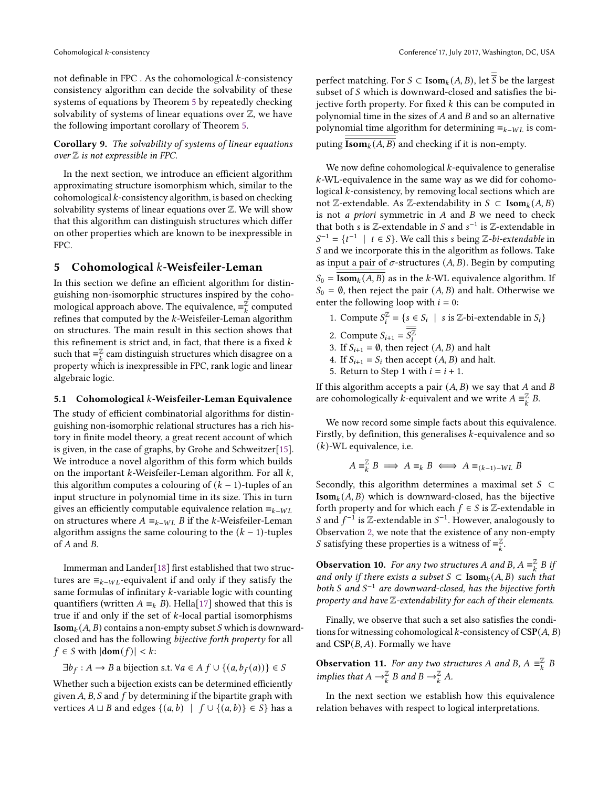not definable in FPC. As the cohomological  $k$ -consistency consistency algorithm can decide the solvability of these systems of equations by Theorem [5](#page-4-1) by repeatedly checking solvability of systems of linear equations over  $\mathbb Z$ , we have the following important corollary of Theorem [5.](#page-4-1)

Corollary 9. The solvability of systems of linear equations over  $\mathbb Z$  is not expressible in FPC.

In the next section, we introduce an efficient algorithm approximating structure isomorphism which, similar to the  $cohomological k-consistency algorithm, is based on checking$ solvability systems of linear equations over  $\mathbb Z$ . We will show that this algorithm can distinguish structures which differ on other properties which are known to be inexpressible in FPC.

#### <span id="page-6-0"></span>5 Cohomological  $k$ -Weisfeiler-Leman

In this section we define an efficient algorithm for distinguishing non-isomorphic structures inspired by the cohomological approach above. The equivalence,  $\equiv_k^{\mathbb{Z}}$  computed refines that computed by the  $k$ -Weisfeiler-Leman algorithm on structures. The main result in this section shows that this refinement is strict and, in fact, that there is a fixed  $k$ such that  $\equiv_k^{\mathbb{Z}}$  cam distinguish structures which disagree on a property which is inexpressible in FPC, rank logic and linear algebraic logic.

#### 5.1 Cohomological  $k$ -Weisfeiler-Leman Equivalence

The study of efficient combinatorial algorithms for distinguishing non-isomorphic relational structures has a rich history in finite model theory, a great recent account of which is given, in the case of graphs, by Grohe and Schweitzer[\[15\]](#page-12-10). We introduce a novel algorithm of this form which builds on the important  $k$ -Weisfeiler-Leman algorithm. For all  $k$ , this algorithm computes a colouring of  $(k - 1)$ -tuples of an input structure in polynomial time in its size. This in turn gives an efficiently computable equivalence relation  $\equiv_{k-WL}$ on structures where  $A \equiv_{k-WL} B$  if the k-Weisfeiler-Leman algorithm assigns the same colouring to the  $(k - 1)$ -tuples of  $A$  and  $B$ .

Immerman and Lander[\[18\]](#page-12-3) first established that two structures are  $\equiv_{k-WL}$ -equivalent if and only if they satisfy the same formulas of infinitary  $k$ -variable logic with counting quantifiers (written  $A \equiv_k B$ ). Hella[\[17\]](#page-12-11) showed that this is true if and only if the set of  $k$ -local partial isomorphisms  $\text{Isom}_k(A, B)$  contains a non-empty subset S which is downwardclosed and has the following bijective forth property for all  $f \in S$  with  $|\textbf{dom}(f)| < k$ :

$$
\exists b_f : A \rightarrow B
$$
 a bijection s.t.  $\forall a \in A f \cup \{(a, b_f(a))\} \in S$ 

Whether such a bijection exists can be determined efficiently given  $A$ ,  $B$ ,  $S$  and  $f$  by determining if the bipartite graph with vertices  $A \sqcup B$  and edges  $\{(a, b) | f \cup \{(a, b)\}\in S\}$  has a

perfect matching. For  $S \subset \textbf{Isom}_k(A, B)$ , let  $\overline{\overline{S}}$  be the largest subset of  $S$  which is downward-closed and satisfies the bijective forth property. For fixed  $k$  this can be computed in polynomial time in the sizes of  $A$  and  $B$  and so an alternative polynomial time algorithm for determining  $\equiv_{k-WL}$  is computing  $\overline{\textbf{Isom}_k(A, B)}$  and checking if it is non-empty.

We now define cohomological  $k$ -equivalence to generalise -WL-equivalence in the same way as we did for cohomological  $k$ -consistency, by removing local sections which are not Z-extendable. As Z-extendability in *S* ⊂ Isom<sub>*k*</sub>(*A, B*) is not *a priori* symmetric in  $A$  and  $B$  we need to check that both *s* is  $\mathbb{Z}$ -extendable in *S* and *s*<sup>-1</sup> is  $\mathbb{Z}$ -extendable in  $S^{-1} = \{t^{-1} \mid t \in S\}$ . We call this s being Z-bi-extendable in S and we incorporate this in the algorithm as follows. Take as input a pair of  $\sigma$ -structures  $(A, B)$ . Begin by computing  $S_0 = \overline{\textbf{Isom}_k(A, B)}$  as in the k-WL equivalence algorithm. If  $S_0 = \emptyset$ , then reject the pair  $(A, B)$  and halt. Otherwise we enter the following loop with  $i = 0$ :

- 1. Compute  $S_i^{\mathbb{Z}} = \{ s \in S_i \mid s \text{ is } \mathbb{Z}\text{-bi-extendable in } S_i \}$
- 2. Compute  $S_{i+1} = \overline{S_i^{\mathbb{Z}}}$
- 3. If  $S_{i+1} = \emptyset$ , then reject  $(A, B)$  and halt
- 4. If  $S_{i+1} = S_i$  then accept  $(A, B)$  and halt.
- 5. Return to Step 1 with  $i = i + 1$ .

If this algorithm accepts a pair  $(A, B)$  we say that  $A$  and  $B$ are cohomologically *k*-equivalent and we write  $A \equiv_k^{\mathbb{Z}} B$ .

We now record some simple facts about this equivalence. Firstly, by definition, this generalises  $k$ -equivalence and so  $(k)$ -WL equivalence, i.e.

$$
A \equiv_k^{\mathbb{Z}} B \implies A \equiv_k B \iff A \equiv_{(k-1)-WL} B
$$

Secondly, this algorithm determines a maximal set  $S \subset$  $\text{Isom}_k(A, B)$  which is downward-closed, has the bijective forth property and for which each  $f \in S$  is Z-extendable in S and  $f^{-1}$  is Z-extendable in  $S^{-1}$ . However, analogously to Observation [2,](#page-3-0) we note that the existence of any non-empty *S* satisfying these properties is a witness of  $\equiv_{k}^{\mathbb{Z}}$ .

<span id="page-6-1"></span>**Observation 10.** For any two structures A and B,  $A \equiv_k^{\mathbb{Z}} B$  if and only if there exists a subset  $S \subset \text{Isom}_k(A, B)$  such that both S and  $S^{-1}$  are downward-closed, has the bijective forth property and have Z-extendability for each of their elements.

Finally, we observe that such a set also satisfies the conditions for witnessing cohomological k-consistency of  $CSP(A, B)$ and  $CSP(B, A)$ . Formally we have

<span id="page-6-2"></span>**Observation 11.** For any two structures A and B,  $A \equiv_{k}^{\mathbb{Z}} B$ implies that  $A \to_{\overline{k}}^{\mathbb{Z}} B$  and  $B \to_{\overline{k}}^{\mathbb{Z}} A$ .

In the next section we establish how this equivalence relation behaves with respect to logical interpretations.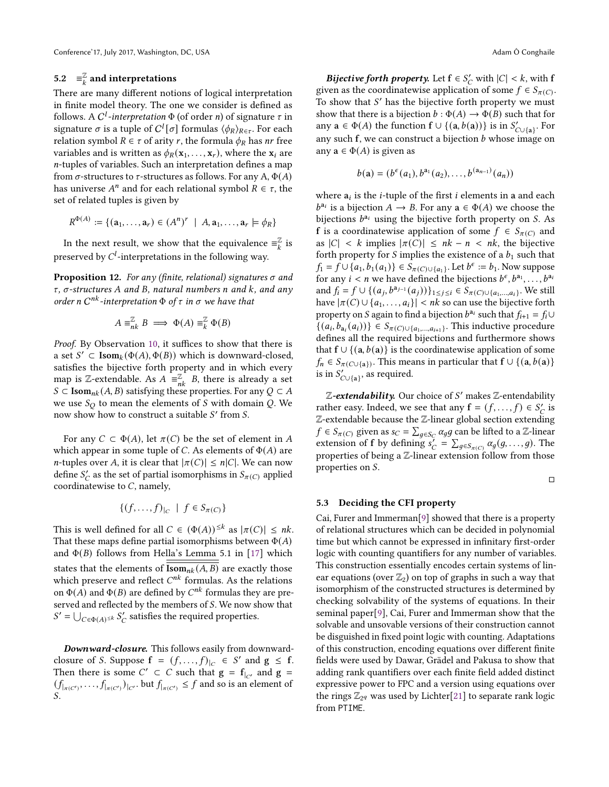## 5.2  $\equiv_k^{\mathbb{Z}}$  and interpretations

There are many different notions of logical interpretation in finite model theory. The one we consider is defined as follows. A  $C^l$ -interpretation  $\Phi$  (of order n) of signature  $\tau$  in signature  $\sigma$  is a tuple of  $C^l[\sigma]$  formulas  $\langle \phi_R\rangle_{R\in\tau}$ . For each relation symbol  $R \in \tau$  of arity r, the formula  $\phi_R$  has *nr* free variables and is written as  $\phi_R(\mathbf{x}_1, \dots, \mathbf{x}_r)$ , where the  $\mathbf{x}_i$  are -tuples of variables. Such an interpretation defines a map from  $\sigma$ -structures to  $\tau$ -structures as follows. For any A,  $\Phi(A)$ has universe  $A^n$  and for each relational symbol  $\overline{R} \in \tau$ , the set of related tuples is given by

$$
R^{\Phi(A)} := \{ (\mathbf{a}_1, \dots, \mathbf{a}_r) \in (A^n)^r \mid A, \mathbf{a}_1, \dots, \mathbf{a}_r \models \phi_R \}
$$

In the next result, we show that the equivalence  $\equiv_k^{\mathbb{Z}}$  is preserved by  $C^l$ -interpretations in the following way.

<span id="page-7-0"></span>**Proposition 12.** For any (finite, relational) signatures  $\sigma$  and  $\tau$ ,  $\sigma$ -structures A and B, natural numbers n and k, and any order n  $C^{nk}$ -interpretation  $\Phi$  of  $\tau$  in  $\sigma$  we have that

$$
A \equiv_{nk}^{\mathbb{Z}} B \implies \Phi(A) \equiv_{k}^{\mathbb{Z}} \Phi(B)
$$

Proof. By Observation [10,](#page-6-1) it suffices to show that there is a set  $S' \subset \text{Isom}_k(\Phi(A), \Phi(B))$  which is downward-closed, satisfies the bijective forth property and in which every map is Z-extendable. As  $A = \mathbb{Z}_n$  B, there is already a set S ⊂ Isom<sub>nk</sub>(A, B) satisfying these properties. For any  $Q \subset A$ we use  $S_O$  to mean the elements of S with domain Q. We now show how to construct a suitable  $S'$  from  $S$ .

For any  $C \subset \Phi(A)$ , let  $\pi(C)$  be the set of element in A which appear in some tuple of C. As elements of  $\Phi(A)$  are *n*-tuples over *A*, it is clear that  $|\pi(C)| \le n|C|$ . We can now define  $S_C'$  as the set of partial isomorphisms in  $S_{\pi(C)}$  applied coordinatewise to  $C$ , namely,

$$
\{(f,\ldots,f)|_C \mid f \in S_{\pi(C)}\}
$$

This is well defined for all  $C \in (\Phi(A))^{\leq k}$  as  $|\pi(C)| \leq nk$ . That these maps define partial isomorphisms between  $\Phi(A)$ and  $\Phi(B)$  follows from Hella's Lemma 5.1 in [\[17\]](#page-12-11) which states that the elements of  $\overline{\textbf{Isom}_{nk}(A, B)}$  are exactly those which preserve and reflect  $C^{nk}$  formulas. As the relations on  $\Phi(A)$  and  $\Phi(B)$  are defined by  $C^{nk}$  formulas they are preserved and reflected by the members of S. We now show that  $S' = \bigcup_{C \in \Phi(A)} \leq k S'_C$  satisfies the required properties.

Downward-closure. This follows easily from downwardclosure of S. Suppose  $f = (f, \ldots, f)|_C \in S'$  and  $g \le f$ . Then there is some  $C' \subset C$  such that  $g = f_{|_{C'}}$  and  $g =$  $(f|_{\pi(C')}, \ldots, f_{|\pi(C')})|_{C'}$  but  $f|_{\pi(C')} \leq f$  and so is an element of  $\overline{S}$ .

*Bijective forth property.* Let  $f \in S_C'$  with  $|C| < k$ , with f given as the coordinatewise application of some  $f \in S_{\pi(C)}$ . To show that  $S'$  has the bijective forth property we must show that there is a bijection  $b : \Phi(A) \to \Phi(B)$  such that for any  $\mathbf{a} \in \Phi(A)$  the function  $\mathbf{f} \cup \{(\mathbf{a}, b(\mathbf{a}))\}$  is in  $S'_{C \cup \{\mathbf{a}\}}$ . For any such  $f$ , we can construct a bijection  $b$  whose image on any  $a \in \Phi(A)$  is given as

$$
b(\mathbf{a}) = (b^{\epsilon}(a_1), b^{a_1}(a_2), \ldots, b^{(a_{n-1})}(a_n))
$$

where  $a_i$  is the *i*-tuple of the first *i* elements in a and each  $b^{a_i}$  is a bijection  $A \to B$ . For any  $a \in \Phi(A)$  we choose the bijections  $b^{a_i}$  using the bijective forth property on S. As f is a coordinatewise application of some  $f \in S_{\pi(C)}$  and as  $|C| < k$  implies  $|\pi(C)| \leq nk - n < nk$ , the bijective forth property for S implies the existence of a  $b_1$  such that  $f_1 = f \cup \{a_1, b_1(a_1)\} \in S_{\pi(C) \cup \{a_1\}}$ . Let  $b^{\epsilon} := b_1$ . Now suppose for any  $i < n$  we have defined the bijections  $b^{\epsilon}, b^{a_1}, \ldots, b^{a_n}$ and  $f_i = f \cup \{(a_j, b^{a_{j-1}}(a_j))\}_{1 \leq j \leq i} \in S_{\pi(C) \cup \{a_1, \dots, a_i\}}$ . We still have  $|\pi(C) \cup \{a_1, \ldots, a_i\}| < nk$  so can use the bijective forth property on S again to find a bijection  $b^{a_i}$  such that  $f_{i+1} = f_i \cup$ {( $a_i, b_{a_i}(a_i)$ )} ∈  $S_{\pi(C) \cup \{a_1,...,a_{i+1}\}}$ . This inductive procedure defines all the required bijections and furthermore shows that  $f \cup \{(a, b(a)\}\)$  is the coordinatewise application of some  $f_n \in S_{\pi(C \cup \{a\})}$ . This means in particular that  $f \cup \{(a, b(a)\})$ is in  $S'_{C \cup \{a\}}$ , as required.

Z-extendability. Our choice of S' makes Z-entendability rather easy. Indeed, we see that any  $f = (f, \ldots, f) \in S_C'$  is Z-extendable because the Z-linear global section extending  $f \in S_{\pi(C)}$  given as  $s_C = \sum_{q \in S_C} \alpha_q g$  can be lifted to a Z-linear extension of f by defining  $s'_C = \sum_{g \in S_{\pi(C)}} \alpha_g(g, \ldots, g)$ . The properties of being a Z-linear extension follow from those properties on S.

□

#### 5.3 Deciding the CFI property

Cai, Furer and Immerman[\[9\]](#page-11-1) showed that there is a property of relational structures which can be decided in polynomial time but which cannot be expressed in infinitary first-order logic with counting quantifiers for any number of variables. This construction essentially encodes certain systems of linear equations (over  $\mathbb{Z}_2$ ) on top of graphs in such a way that isomorphism of the constructed structures is determined by checking solvability of the systems of equations. In their seminal paper[\[9\]](#page-11-1), Cai, Furer and Immerman show that the solvable and unsovable versions of their construction cannot be disguished in fixed point logic with counting. Adaptations of this construction, encoding equations over different finite fields were used by Dawar, Grädel and Pakusa to show that adding rank quantifiers over each finite field added distinct expressive power to FPC and a version using equations over the rings  $\mathbb{Z}_{2^q}$  was used by Lichter[\[21\]](#page-12-5) to separate rank logic from PTIME.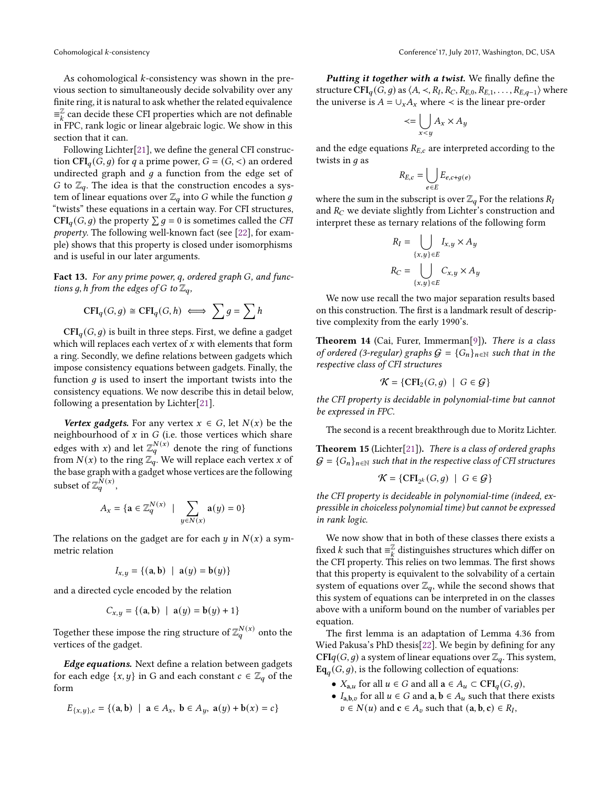As cohomological  $k$ -consistency was shown in the previous section to simultaneously decide solvability over any finite ring, it is natural to ask whether the related equivalence  $\equiv_{k}^{\mathbb{Z}}$  can decide these CFI properties which are not definable in FPC, rank logic or linear algebraic logic. We show in this section that it can.

Following Lichter[\[21\]](#page-12-5), we define the general CFI construction  $CFI_a(G, q)$  for q a prime power,  $G = (G, <)$  an ordered undirected graph and  $g$  a function from the edge set of G to  $\mathbb{Z}_q$ . The idea is that the construction encodes a system of linear equations over  $\mathbb{Z}_q$  into G while the function g "twists" these equations in a certain way. For CFI structures, CFI<sub>q</sub>(G, g) the property  $\sum g = 0$  is sometimes called the CFI property. The following well-known fact (see [\[22\]](#page-12-7), for example) shows that this property is closed under isomorphisms and is useful in our later arguments.

<span id="page-8-0"></span>Fact 13. For any prime power, q, ordered graph  $G$ , and functions g, h from the edges of G to  $\mathbb{Z}_q$ ,

$$
\mathbf{CFI}_q(G,g) \cong \mathbf{CFI}_q(G,h) \iff \sum g = \sum h
$$

 $\text{CFI}_q(G, g)$  is built in three steps. First, we define a gadget which will replaces each vertex of  $x$  with elements that form a ring. Secondly, we define relations between gadgets which impose consistency equations between gadgets. Finally, the function  $q$  is used to insert the important twists into the consistency equations. We now describe this in detail below, following a presentation by Lichter[\[21\]](#page-12-5).

Vertex gadgets. For any vertex  $x \in G$ , let  $N(x)$  be the neighbourhood of  $x$  in  $G$  (i.e. those vertices which share edges with x) and let  $\mathbb{Z}_q^{N(x)}$  denote the ring of functions from  $N(x)$  to the ring  $\mathbb{Z}_q^{\prime}$ . We will replace each vertex x of the base graph with a gadget whose vertices are the following subset of  $\mathbb{Z}_q^{N(x)}$ ,

$$
A_x = \{ \mathbf{a} \in \mathbb{Z}_q^{N(x)} \mid \sum_{y \in N(x)} \mathbf{a}(y) = 0 \}
$$

The relations on the gadget are for each  $y$  in  $N(x)$  a symmetric relation

$$
I_{x,y} = \{(\mathbf{a}, \mathbf{b}) \mid \mathbf{a}(y) = \mathbf{b}(y)\}\
$$

and a directed cycle encoded by the relation

$$
C_{x,y} = \{ (\mathbf{a}, \mathbf{b}) \mid \mathbf{a}(y) = \mathbf{b}(y) + 1 \}
$$

Together these impose the ring structure of  $\mathbb{Z}_q^{N(x)}$  onto the vertices of the gadget.

Edge equations. Next define a relation between gadgets for each edge  $\{x, y\}$  in G and each constant  $c \in \mathbb{Z}_q$  of the form

$$
E_{\{x,y\},c} = \{(\mathbf{a}, \mathbf{b}) \mid \mathbf{a} \in A_x, \mathbf{b} \in A_y, \mathbf{a}(y) + \mathbf{b}(x) = c\}
$$

Putting it together with a twist. We finally define the structure  $\widehat{\text{CFI}}_q(\tilde{G},g)$  as  $\langle A,\prec,R_I,R_C,R_{E,0},R_{E,1},\ldots,R_{E,q-1}\rangle$  where the universe is  $A = \bigcup_{x} A_x$  where  $\prec$  is the linear pre-order

$$
\prec = \bigcup_{x < y} A_x \times A_y
$$

and the edge equations  $R_{E,c}$  are interpreted according to the twists in  $q$  as

$$
R_{E,c} = \bigcup_{e \in E} E_{e,c+g(e)}
$$

where the sum in the subscript is over  $\mathbb{Z}_q$  For the relations  $R_I$ and  $R_C$  we deviate slightly from Lichter's construction and interpret these as ternary relations of the following form

$$
R_I = \bigcup_{\{x,y\} \in E} I_{x,y} \times A_y
$$

$$
R_C = \bigcup_{\{x,y\} \in E} C_{x,y} \times A_y
$$

We now use recall the two major separation results based on this construction. The first is a landmark result of descriptive complexity from the early 1990's.

Theorem 14 (Cai, Furer, Immerman[\[9\]](#page-11-1)). There is a class of ordered (3-regular) graphs  $G = {G_n}_{n \in \mathbb{N}}$  such that in the respective class of CFI structures

$$
\mathcal{K} = \{ \text{CFI}_2(G, g) \mid G \in \mathcal{G} \}
$$

the CFI property is decidable in polynomial-time but cannot be expressed in FPC.

The second is a recent breakthrough due to Moritz Lichter.

<span id="page-8-1"></span>Theorem 15 (Lichter[\[21\]](#page-12-5)). There is a class of ordered graphs  $G = {G_n}_{n \in \mathbb{N}}$  such that in the respective class of CFI structures

$$
\mathcal{K} = \{ \mathsf{CFI}_{2^k}(G,g) \mid \ G \in \mathcal{G} \}
$$

the CFI property is decideable in polynomial-time (indeed, expressible in choiceless polynomial time) but cannot be expressed in rank logic.

We now show that in both of these classes there exists a fixed *k* such that  $\equiv_{k}^{\mathbb{Z}}$  distinguishes structures which differ on the CFI property. This relies on two lemmas. The first shows that this property is equivalent to the solvability of a certain system of equations over  $\mathbb{Z}_q$ , while the second shows that this system of equations can be interpreted in on the classes above with a uniform bound on the number of variables per equation.

The first lemma is an adaptation of Lemma 4.36 from Wied Pakusa's PhD thesis[\[22\]](#page-12-7). We begin by defining for any  $CFIq(G, q)$  a system of linear equations over  $\mathbb{Z}_q$ . This system,  $Eq_{a}(G, g)$ , is the following collection of equations:

- $X_{a,u}$  for all  $u \in G$  and all  $a \in A_u \subset \text{CFI}_q(G, g)$ ,
- $I_{a,b,v}$  for all  $u \in G$  and  $a,b \in A_u$  such that there exists  $v \in N(u)$  and  $c \in A_v$  such that  $(a, b, c) \in R_I$ ,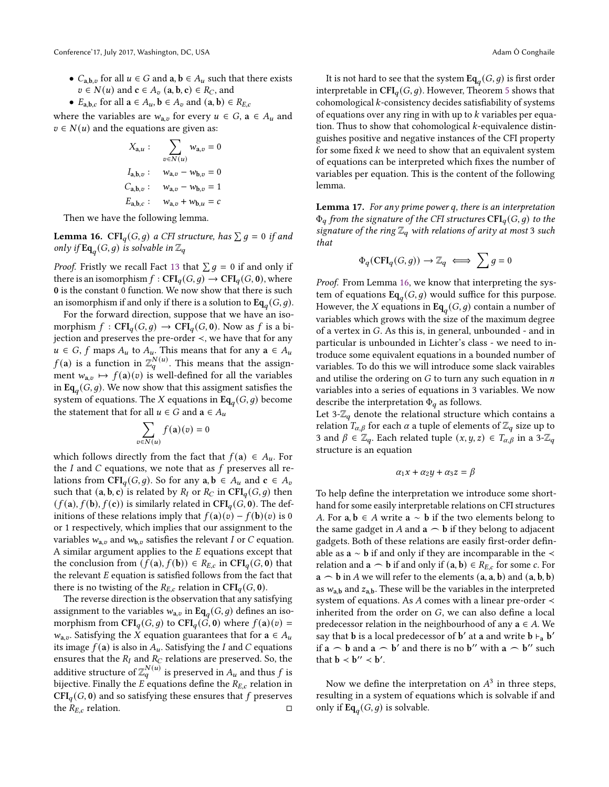- $C_{a,b,v}$  for all  $u \in G$  and  $a, b \in A_u$  such that there exists  $v \in N(u)$  and  $c \in A_v$  (a, b, c)  $\in R_C$ , and
- $E_{a,b,c}$  for all  $a \in A_u$ ,  $b \in A_v$  and  $(a, b) \in R_{E,c}$

where the variables are  $w_{a,v}$  for every  $u \in G$ ,  $a \in A_u$  and  $v \in N(u)$  and the equations are given as:

$$
X_{\mathbf{a},u} : \sum_{v \in N(u)} w_{\mathbf{a},v} = 0
$$
  

$$
I_{\mathbf{a},\mathbf{b},v} : \quad w_{\mathbf{a},v} - w_{\mathbf{b},v} = 0
$$
  

$$
C_{\mathbf{a},\mathbf{b},v} : \quad w_{\mathbf{a},v} - w_{\mathbf{b},v} = 1
$$
  

$$
E_{\mathbf{a},\mathbf{b},c} : \quad w_{\mathbf{a},v} + w_{\mathbf{b},u} = c
$$

Then we have the following lemma.

<span id="page-9-0"></span>**Lemma 16.** CFI<sub>q</sub>(G, g) a CFI structure, has  $\sum g = 0$  if and only if  $\text{Eq}_{q}(G, g)$  is solvable in  $\mathbb{Z}_{q}$ 

*Proof.* Fristly we recall Fact [13](#page-8-0) that  $\sum g = 0$  if and only if there is an isomorphism  $f: \mathbf{CFI}_q(G, g) \to \mathbf{CFI}_q(G, 0)$ , where 0 is the constant 0 function. We now show that there is such an isomorphism if and only if there is a solution to  $\text{Eq}_{a}(G, g)$ .

For the forward direction, suppose that we have an isomorphism  $f : \text{CFI}_q(G, g) \to \text{CFI}_q(G, 0)$ . Now as f is a bijection and preserves the pre-order ≺, we have that for any  $u \in G$ ,  $f$  maps  $A_u$  to  $A_u$ . This means that for any  $a \in A_u$  $f(\mathbf{a})$  is a function in  $\mathbb{Z}_q^{N(u)}$ . This means that the assignment  $w_{a,v} \mapsto f(a)(v)$  is well-defined for all the variables in Eq<sub>a</sub>( $G, g$ ). We now show that this assigment satisfies the system of equations. The X equations in Eq<sub>q</sub>(G, g) become the statement that for all  $u \in G$  and  $a \in A_u$ 

$$
\sum_{v \in N(u)} f(\mathbf{a})(v) = 0
$$

which follows directly from the fact that  $f(\mathbf{a}) \in A_u$ . For the  $I$  and  $C$  equations, we note that as  $f$  preserves all relations from CFI<sub>q</sub>(G, g). So for any  $a, b \in A_u$  and  $c \in A_v$ such that  $(a, b, c)$  is related by  $R_I$  or  $R_C$  in  $CFI_q(G, g)$  then  $(f(a), f(b), f(c))$  is similarly related in CFI<sub>q</sub>(G, 0). The definitions of these relations imply that  $f(a)(v) - f(b)(v)$  is 0 or 1 respectively, which implies that our assignment to the variables  $w_{a,v}$  and  $w_{b,v}$  satisfies the relevant I or C equation. A similar argument applies to the  $E$  equations except that the conclusion from  $(f(a), f(b)) \in R_{E,c}$  in CFI<sub>a</sub> $(G, 0)$  that the relevant  $E$  equation is satisfied follows from the fact that there is no twisting of the  $R_{E,c}$  relation in CFI<sub>q</sub>(G, 0).

The reverse direction is the observation that any satisfying assignment to the variables  $w_{a,v}$  in Eq<sub>q</sub>(G, g) defines an isomorphism from  $\text{CFI}_q(G, g)$  to  $\text{CFI}_q(G, 0)$  where  $f(a)(v) =$  $w_{a,v}$ . Satisfying the X equation guarantees that for  $a \in A_u$ its image  $f(a)$  is also in  $A_u$ . Satisfying the I and C equations ensures that the  $\mathfrak{R}_I$  and  $\mathfrak{R}_C$  relations are preserved. So, the additive structure of  $\mathbb{Z}_q^{N(u)}$  is preserved in  $A_u$  and thus  $f$  is bijective. Finally the  $E$  equations define the  $R_{E,c}$  relation in  $\text{CFI}_q(G, 0)$  and so satisfying these ensures that f preserves the  $R_{E,c}$  relation.  $\square$ 

It is not hard to see that the system  $\text{Eq}_{\textit{q}}(G, g)$  is first order interpretable in  $\text{CFI}_q(G, q)$ . However, Theorem [5](#page-4-1) shows that cohomological  $k$ -consistency decides satisfiability of systems of equations over any ring in with up to  $k$  variables per equation. Thus to show that cohomological  $k$ -equivalence distinguishes positive and negative instances of the CFI property for some fixed  $k$  we need to show that an equivalent system of equations can be interpreted which fixes the number of variables per equation. This is the content of the following lemma.

<span id="page-9-1"></span>Lemma 17. For any prime power  $q$ , there is an interpretation  $\Phi_q$  from the signature of the CFI structures CFI<sub>a</sub>(G, q) to the signature of the ring  $\mathbb{Z}_q$  with relations of arity at most 3 such that

$$
\Phi_q(\mathbf{CFI}_q(G,g)) \to \mathbb{Z}_q \iff \sum g = 0
$$

Proof. From Lemma [16,](#page-9-0) we know that interpreting the system of equations  $Eq_{q}(G, g)$  would suffice for this purpose. However, the X equations in  $\text{Eq}_a(G, g)$  contain a number of variables which grows with the size of the maximum degree of a vertex in  $G$ . As this is, in general, unbounded - and in particular is unbounded in Lichter's class - we need to introduce some equivalent equations in a bounded number of variables. To do this we will introduce some slack vairables and utilise the ordering on  $G$  to turn any such equation in  $n$ variables into a series of equations in 3 variables. We now describe the interpretation  $\Phi_q$  as follows.

Let 3- $\mathbb{Z}_q$  denote the relational structure which contains a relation  $T_{\alpha,\beta}$  for each  $\alpha$  a tuple of elements of  $\mathbb{Z}_q$  size up to 3 and  $\beta \in \mathbb{Z}_q$ . Each related tuple  $(x, y, z) \in T_{\alpha, \beta}$  in a 3- $\mathbb{Z}_q$ structure is an equation

$$
\alpha_1 x + \alpha_2 y + \alpha_3 z = \beta
$$

To help define the interpretation we introduce some shorthand for some easily interpretable relations on CFI structures A. For  $a, b \in A$  write  $a \sim b$  if the two elements belong to the same gadget in A and  $a \frown b$  if they belong to adjacent gadgets. Both of these relations are easily first-order definable as a ∼ b if and only if they are incomparable in the ≺ relation and  $\mathbf{a} \frown \mathbf{b}$  if and only if  $(\mathbf{a}, \mathbf{b}) \in R_{E,c}$  for some c. For  $\mathbf{a} \frown \mathbf{b}$  in A we will refer to the elements  $(\mathbf{a}, \mathbf{a}, \mathbf{b})$  and  $(\mathbf{a}, \mathbf{b}, \mathbf{b})$ as  $w_{a,b}$  and  $z_{a,b}$ . These will be the variables in the interpreted system of equations. As  $A$  comes with a linear pre-order  $\prec$ inherited from the order on  $G$ , we can also define a local predecessor relation in the neighbourhood of any  $a \in A$ . We say that **b** is a local predecessor of **b'** at **a** and write  $\mathbf{b} \vdash_{\mathbf{a}} \mathbf{b}'$ if  $a \frown b$  and  $a \frown b'$  and there is no b'' with  $a \frown b''$  such that  $\mathbf{b} \prec \mathbf{b}^{\prime\prime} \prec \mathbf{b}^{\prime}$ .

Now we define the interpretation on  $A<sup>3</sup>$  in three steps, resulting in a system of equations which is solvable if and only if  $\text{Eq}_{q}(G, g)$  is solvable.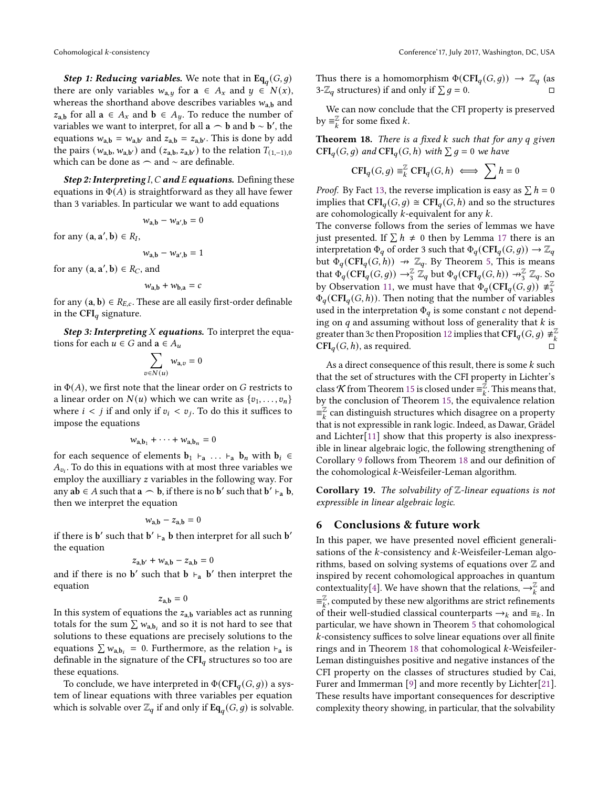**Step 1: Reducing variables.** We note that in  $Eq_{q}(G, g)$ there are only variables  $w_{a,y}$  for  $a \in A_x$  and  $y \in N(x)$ , whereas the shorthand above describes variables  $w_{a,b}$  and  $z_{a,b}$  for all  $a \in A_x$  and  $b \in A_y$ . To reduce the number of variables we want to interpret, for all  $\bf{a} \frown \bf{b}$  and  $\bf{b} \sim \bf{b'}$ , the equations  $w_{a,b} = w_{a,b'}$  and  $z_{a,b} = z_{a,b'}$ . This is done by add the pairs  $(w_{a,b}, w_{a,b'})$  and  $(z_{a,b}, z_{a,b'})$  to the relation  $T_{(1,-1),0}$ which can be done as  $\frown$  and  $\sim$  are definable.

Step 2: Interpreting I, C and E equations. Defining these equations in  $\Phi(A)$  is straightforward as they all have fewer than 3 variables. In particular we want to add equations

$$
w_{a,b} - w_{a',b} = 0
$$

for any  $(a, a', b) \in R_I$ ,

$$
w_{a,b} - w_{a',b} = 1
$$

for any  $(a, a', b) \in R_C$ , and

$$
w_{a,b} + w_{b,a} = c
$$

for any  $(a, b) \in R_{E,c}$ . These are all easily first-order definable in the CFI $_q$  signature.

Step 3: Interpreting  $X$  equations. To interpret the equations for each  $u \in G$  and  $\mathbf{a} \in A_u$ 

$$
\sum_{v \in N(u)} w_{\mathbf{a},v} =
$$

 $\mathbf 0$ 

in  $\Phi(A)$ , we first note that the linear order on G restricts to a linear order on  $N(u)$  which we can write as  $\{v_1, \ldots, v_n\}$ where  $i < j$  if and only if  $v_i < v_j$ . To do this it suffices to impose the equations

$$
w_{a,b_1} + \cdots + w_{a,b_n} = 0
$$

for each sequence of elements  $\mathbf{b}_1$  ⊢<sub>a</sub> ... ⊢<sub>a</sub>  $\mathbf{b}_n$  with  $\mathbf{b}_i$  ∈  $A_{v_i}$ . To do this in equations with at most three variables we employ the auxilliary  $z$  variables in the following way. For any  $ab \in A$  such that  $a \frown b$ , if there is no b' such that  $b' \vdash_a b$ , then we interpret the equation

$$
w_{\mathbf{a},\mathbf{b}} - z_{\mathbf{a},\mathbf{b}} = 0
$$

if there is  $\mathbf{b}'$  such that  $\mathbf{b}' \vdash_{\mathbf{a}} \mathbf{b}$  then interpret for all such  $\mathbf{b}'$ the equation

$$
z_{a,b'} + w_{a,b} - z_{a,b} = 0
$$

and if there is no **b'** such that **b**  $\vdash$ <sub>a</sub> **b'** then interpret the equation

 $z_{\rm a,b} = 0$ 

In this system of equations the  $z_{a,b}$  variables act as running totals for the sum  $\sum w_{a,b_i}$  and so it is not hard to see that solutions to these equations are precisely solutions to the equations  $\sum w_{a,b_i} = 0$ . Furthermore, as the relation  $\vdash_a$  is definable in the signature of the  $CFI_q$  structures so too are these equations.

To conclude, we have interpreted in  $\Phi(CFI_q(G, g))$  a system of linear equations with three variables per equation which is solvable over  $\mathbb{Z}_q$  if and only if  $\text{Eq}_q(G, g)$  is solvable. Thus there is a homomorphism  $\Phi(\text{CFI}_q(G,g)) \to \mathbb{Z}_q$  (as 3- $\mathbb{Z}_q$  structures) if and only if  $\sum g = 0$ .

We can now conclude that the CFI property is preserved by  $\equiv_k^{\mathbb{Z}}$  for some fixed  $k$ .

<span id="page-10-1"></span>**Theorem 18.** There is a fixed  $k$  such that for any  $q$  given  $\mathbf{CFI}_q(G,g)$  and  $\mathbf{CFI}_q(G,h)$  with  $\sum g=0$  we have

$$
\mathbf{CFI}_q(G,g) \equiv_k^{\mathbb{Z}} \mathbf{CFI}_q(G,h) \iff \sum h = 0
$$

*Proof.* By Fact [13,](#page-8-0) the reverse implication is easy as  $\sum h = 0$ implies that  $\text{CFI}_q(G, g) \cong \text{CFI}_q(G, h)$  and so the structures are cohomologically  $k$ -equivalent for any  $k$ .

The converse follows from the series of lemmas we have just presented. If  $\sum h \neq 0$  then by Lemma [17](#page-9-1) there is an interpretation  $\Phi_q$  of order 3 such that  $\Phi_q(\text{CFI}_q(G, g)) \to \mathbb{Z}_q$ but  $\Phi_q(\text{CFI}_q(G, h)) \to \mathbb{Z}_q$ . By Theorem [5,](#page-4-1) This is means that  $\Phi_q(\text{CFI}_q(G,g)) \to \frac{\mathbb{Z}}{3} \mathbb{Z}_q$  but  $\Phi_q(\text{CFI}_q(G,h)) \to \frac{\mathbb{Z}}{3} \mathbb{Z}_q$ . So by Observation [11,](#page-6-2) we must have that  $\Phi_q(\text{CFI}_q(G, g)) \neq \frac{Z}{3}$ 3  $\Phi_q(\text{CFI}_q(G, h))$ . Then noting that the number of variables used in the interpretation  $\Phi_q$  is some constant c not depending on  $q$  and assuming without loss of generality that  $k$  is greater than 3c then Proposition [12](#page-7-0) implies that  $\operatorname{CFI}_q(G, g) \neq_{k}^{\mathbb{Z}}$  $\mathbf{CFI}_q(G, h)$ , as required.

As a direct consequence of this result, there is some  $k$  such that the set of structures with the CFI property in Lichter's class  $\mathcal K$  from Theorem [15](#page-8-1) is closed under  $\equiv_k^{\mathbb Z}$ . This means that, by the conclusion of Theorem [15,](#page-8-1) the equivalence relation  $\equiv_{k}^{\mathbb{Z}}$  can distinguish structures which disagree on a property that is not expressible in rank logic. Indeed, as Dawar, Grädel and Lichter[\[11\]](#page-11-9) show that this property is also inexpressible in linear algebraic logic, the following strengthening of Corollary [9](#page-5-3) follows from Theorem [18](#page-10-1) and our definition of the cohomological  $k$ -Weisfeiler-Leman algorithm.

Corollary 19. The solvability of  $\mathbb Z$ -linear equations is not expressible in linear algebraic logic.

#### <span id="page-10-0"></span>6 Conclusions & future work

In this paper, we have presented novel efficient generalisations of the  $k$ -consistency and  $k$ -Weisfeiler-Leman algorithms, based on solving systems of equations over  $\mathbb Z$  and inspired by recent cohomological approaches in quantum contextuality[\[4\]](#page-11-4). We have shown that the relations,  $\rightarrow_{k}^{\mathbb{Z}}$  and  $\equiv_{k}^{\mathbb{Z}}$ , computed by these new algorithms are strict refinements of their well-studied classical counterparts  $\rightarrow_k$  and  $\equiv_k$ . In particular, we have shown in Theorem [5](#page-4-1) that cohomological -consistency suffices to solve linear equations over all finite rings and in Theorem  $18$  that cohomological  $k$ -Weisfeiler-Leman distinguishes positive and negative instances of the CFI property on the classes of structures studied by Cai, Furer and Immerman [\[9\]](#page-11-1) and more recently by Lichter[\[21\]](#page-12-5). These results have important consequences for descriptive complexity theory showing, in particular, that the solvability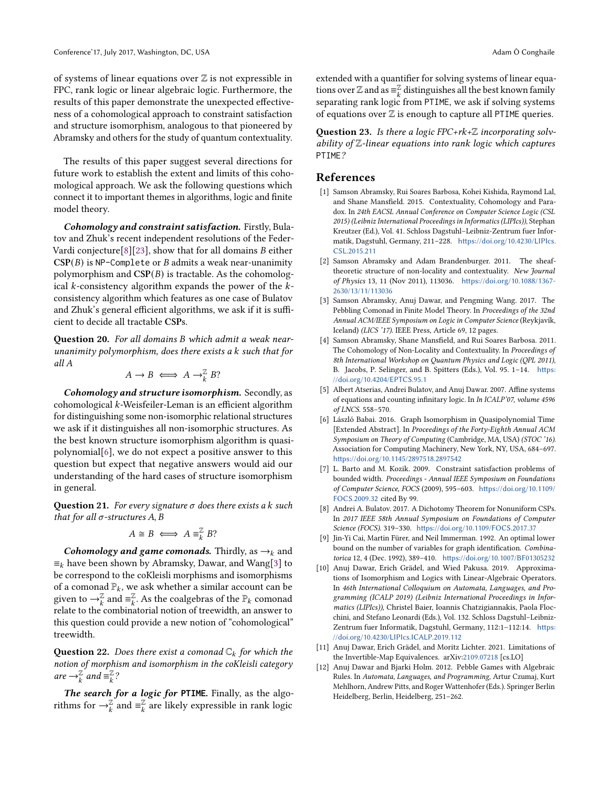of systems of linear equations over  $\mathbb Z$  is not expressible in FPC, rank logic or linear algebraic logic. Furthermore, the results of this paper demonstrate the unexpected effectiveness of a cohomological approach to constraint satisfaction and structure isomorphism, analogous to that pioneered by Abramsky and others for the study of quantum contextuality.

The results of this paper suggest several directions for future work to establish the extent and limits of this cohomological approach. We ask the following questions which connect it to important themes in algorithms, logic and finite model theory.

Cohomology and constraint satisfaction. Firstly, Bulatov and Zhuk's recent independent resolutions of the Feder-Vardi conjecture[\[8\]](#page-11-6)[\[23\]](#page-12-4), show that for all domains  $B$  either  $CSP(B)$  is NP-Complete or  $B$  admits a weak near-unanimity polymorphism and  $CSP(B)$  is tractable. As the cohomological  $k$ -consistency algorithm expands the power of the  $k$ consistency algorithm which features as one case of Bulatov and Zhuk's general efficient algorithms, we ask if it is sufficient to decide all tractable CSPs.

Question 20. For all domains B which admit a weak nearunanimity polymorphism, does there exists a  $k$  such that for all

$$
A \to B \iff A \to_{k}^{\mathbb{Z}} B?
$$

Cohomology and structure isomorphism. Secondly, as  $cohomological k-Weisfeiler-Leman is an efficient algorithm$ for distinguishing some non-isomorphic relational structures we ask if it distinguishes all non-isomorphic structures. As the best known structure isomorphism algorithm is quasipolynomial[\[6\]](#page-11-0), we do not expect a positive answer to this question but expect that negative answers would aid our understanding of the hard cases of structure isomorphism in general.

Question 21. For every signature  $\sigma$  does there exists a  $k$  such that for all  $\sigma$ -structures A, B

$$
A \cong B \iff A \equiv_k^{\mathbb{Z}} B?
$$

Cohomology and game comonads. Thirdly, as  $\rightarrow_k$  and  $\equiv_k$  have been shown by Abramsky, Dawar, and Wang[\[3\]](#page-11-2) to be correspond to the coKleisli morphisms and isomorphisms of a comonad  $\mathbb{P}_k$ , we ask whether a similar account can be given to  $\rightarrow_k^{\mathbb{Z}}$  and  $\equiv_k^{\mathbb{Z}}$ . As the coalgebras of the  $\mathbb{P}_k$  comonad relate to the combinatorial notion of treewidth, an answer to this question could provide a new notion of "cohomological" treewidth.

**Question 22.** Does there exist a comonad  $\mathbb{C}_k$  for which the notion of morphism and isomorphism in the coKleisli category are  $\rightarrow_k^{\mathbb{Z}}$  and  $\equiv_k^{\mathbb{Z}}$ ?

The search for a logic for **PTIME**. Finally, as the algorithms for  $\rightarrow_k^{\mathbb{Z}}$  and  $\equiv_k^{\mathbb{Z}}$  are likely expressible in rank logic

extended with a quantifier for solving systems of linear equations over Z and as  $\equiv_k^{\mathbb{Z}}$  distinguishes all the best known family separating rank logic from PTIME, we ask if solving systems of equations over  $\mathbb Z$  is enough to capture all PTIME queries.

Question 23. Is there a logic FPC+rk+ $\mathbb Z$  incorporating solvability of  $\mathbb Z$ -linear equations into rank logic which captures PTIME?

#### References

- <span id="page-11-5"></span>[1] Samson Abramsky, Rui Soares Barbosa, Kohei Kishida, Raymond Lal, and Shane Mansfield. 2015. Contextuality, Cohomology and Paradox. In 24th EACSL Annual Conference on Computer Science Logic (CSL 2015) (Leibniz International Proceedings in Informatics (LIPIcs)), Stephan Kreutzer (Ed.), Vol. 41. Schloss Dagstuhl–Leibniz-Zentrum fuer Informatik, Dagstuhl, Germany, 211–228. [https://doi.org/10.4230/LIPIcs.](https://doi.org/10.4230/LIPIcs.CSL.2015.211) [CSL.2015.211](https://doi.org/10.4230/LIPIcs.CSL.2015.211)
- <span id="page-11-3"></span>[2] Samson Abramsky and Adam Brandenburger. 2011. The sheaftheoretic structure of non-locality and contextuality. New Journal of Physics 13, 11 (Nov 2011), 113036. [https://doi.org/10.1088/1367-](https://doi.org/10.1088/1367-2630/13/11/113036) [2630/13/11/113036](https://doi.org/10.1088/1367-2630/13/11/113036)
- <span id="page-11-2"></span>[3] Samson Abramsky, Anuj Dawar, and Pengming Wang. 2017. The Pebbling Comonad in Finite Model Theory. In Proceedings of the 32nd Annual ACM/IEEE Symposium on Logic in Computer Science (Reykjavík, Iceland) (LICS '17). IEEE Press, Article 69, 12 pages.
- <span id="page-11-4"></span>[4] Samson Abramsky, Shane Mansfield, and Rui Soares Barbosa. 2011. The Cohomology of Non-Locality and Contextuality. In Proceedings of 8th International Workshop on Quantum Physics and Logic (QPL 2011), B. Jacobs, P. Selinger, and B. Spitters (Eds.), Vol. 95. 1–14. [https:](https://doi.org/10.4204/EPTCS.95.1) [//doi.org/10.4204/EPTCS.95.1](https://doi.org/10.4204/EPTCS.95.1)
- <span id="page-11-11"></span>[5] Albert Atserias, Andrei Bulatov, and Anuj Dawar. 2007. Affine systems of equations and counting infinitary logic. In In ICALP'07, volume 4596 of LNCS. 558–570.
- <span id="page-11-0"></span>[6] László Babai. 2016. Graph Isomorphism in Quasipolynomial Time [Extended Abstract]. In Proceedings of the Forty-Eighth Annual ACM Symposium on Theory of Computing (Cambridge, MA, USA) (STOC '16). Association for Computing Machinery, New York, NY, USA, 684–697. <https://doi.org/10.1145/2897518.2897542>
- <span id="page-11-10"></span>[7] L. Barto and M. Kozik. 2009. Constraint satisfaction problems of bounded width. Proceedings - Annual IEEE Symposium on Foundations of Computer Science, FOCS (2009), 595–603. [https://doi.org/10.1109/](https://doi.org/10.1109/FOCS.2009.32) [FOCS.2009.32](https://doi.org/10.1109/FOCS.2009.32) cited By 99.
- <span id="page-11-6"></span>[8] Andrei A. Bulatov. 2017. A Dichotomy Theorem for Nonuniform CSPs. In 2017 IEEE 58th Annual Symposium on Foundations of Computer Science (FOCS). 319–330. <https://doi.org/10.1109/FOCS.2017.37>
- <span id="page-11-1"></span>[9] Jin-Yi Cai, Martin Fürer, and Neil Immerman. 1992. An optimal lower bound on the number of variables for graph identification. Combinatorica 12, 4 (Dec. 1992), 389–410. <https://doi.org/10.1007/BF01305232>
- <span id="page-11-8"></span>[10] Anuj Dawar, Erich Grädel, and Wied Pakusa. 2019. Approximations of Isomorphism and Logics with Linear-Algebraic Operators. In 46th International Colloquium on Automata, Languages, and Programming (ICALP 2019) (Leibniz International Proceedings in Informatics (LIPIcs)), Christel Baier, Ioannis Chatzigiannakis, Paola Flocchini, and Stefano Leonardi (Eds.), Vol. 132. Schloss Dagstuhl–Leibniz-Zentrum fuer Informatik, Dagstuhl, Germany, 112:1–112:14. [https:](https://doi.org/10.4230/LIPIcs.ICALP.2019.112) [//doi.org/10.4230/LIPIcs.ICALP.2019.112](https://doi.org/10.4230/LIPIcs.ICALP.2019.112)
- <span id="page-11-9"></span>[11] Anuj Dawar, Erich Grädel, and Moritz Lichter. 2021. Limitations of the Invertible-Map Equivalences. arXiv[:2109.07218](https://arxiv.org/abs/2109.07218) [cs.LO]
- <span id="page-11-7"></span>[12] Anuj Dawar and Bjarki Holm. 2012. Pebble Games with Algebraic Rules. In Automata, Languages, and Programming, Artur Czumaj, Kurt Mehlhorn, Andrew Pitts, and Roger Wattenhofer (Eds.). Springer Berlin Heidelberg, Berlin, Heidelberg, 251–262.